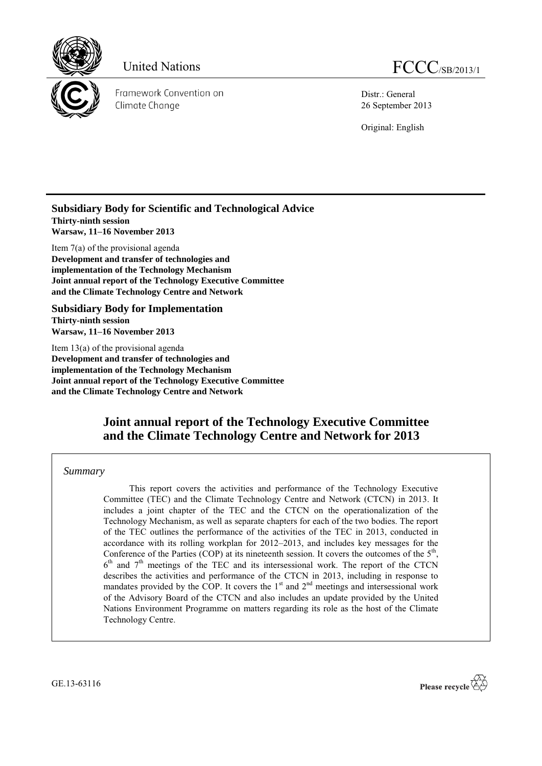

United Nations FCCC/SB/2013/1

Framework Convention on Climate Change

Distr.: General 26 September 2013

Original: English

## **Subsidiary Body for Scientific and Technological Advice Thirty-ninth session Warsaw, 11–16 November 2013**

Item 7(a) of the provisional agenda **Development and transfer of technologies and implementation of the Technology Mechanism Joint annual report of the Technology Executive Committee and the Climate Technology Centre and Network**

**Subsidiary Body for Implementation Thirty-ninth session Warsaw, 11–16 November 2013**

Item 13(a) of the provisional agenda **Development and transfer of technologies and implementation of the Technology Mechanism Joint annual report of the Technology Executive Committee and the Climate Technology Centre and Network**

# **Joint annual report of the Technology Executive Committee and the Climate Technology Centre and Network for 2013**

## *Summary*

This report covers the activities and performance of the Technology Executive Committee (TEC) and the Climate Technology Centre and Network (CTCN) in 2013. It includes a joint chapter of the TEC and the CTCN on the operationalization of the Technology Mechanism, as well as separate chapters for each of the two bodies. The report of the TEC outlines the performance of the activities of the TEC in 2013, conducted in accordance with its rolling workplan for 2012–2013, and includes key messages for the Conference of the Parties (COP) at its nineteenth session. It covers the outcomes of the  $5<sup>th</sup>$ ,  $6<sup>th</sup>$  and  $7<sup>th</sup>$  meetings of the TEC and its intersessional work. The report of the CTCN describes the activities and performance of the CTCN in 2013, including in response to mandates provided by the COP. It covers the  $1<sup>st</sup>$  and  $2<sup>nd</sup>$  meetings and intersessional work of the Advisory Board of the CTCN and also includes an update provided by the United Nations Environment Programme on matters regarding its role as the host of the Climate Technology Centre.

GE.13-63116

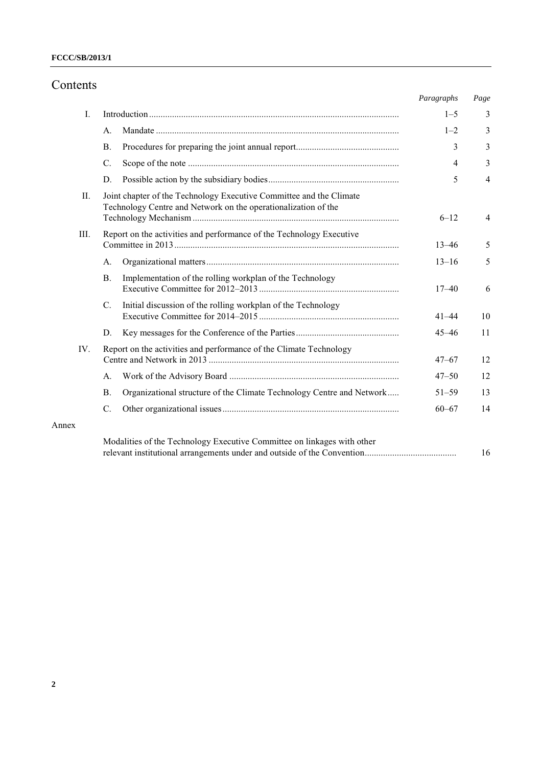# Contents

|       |                                                                                                                                       |                                                                       | Paragraphs     | Page           |
|-------|---------------------------------------------------------------------------------------------------------------------------------------|-----------------------------------------------------------------------|----------------|----------------|
| Ι.    |                                                                                                                                       |                                                                       | $1 - 5$        | 3              |
|       | A.                                                                                                                                    |                                                                       | $1 - 2$        | 3              |
|       | <b>B.</b>                                                                                                                             |                                                                       | 3              | 3              |
|       | C.                                                                                                                                    |                                                                       | $\overline{4}$ | 3              |
|       | D.                                                                                                                                    |                                                                       | 5              | $\overline{4}$ |
| П.    | Joint chapter of the Technology Executive Committee and the Climate<br>Technology Centre and Network on the operationalization of the |                                                                       | $6 - 12$       | 4              |
| III.  | Report on the activities and performance of the Technology Executive                                                                  |                                                                       | $13 - 46$      | 5              |
|       | A.                                                                                                                                    |                                                                       | $13 - 16$      | 5              |
|       | <b>B.</b>                                                                                                                             | Implementation of the rolling workplan of the Technology              | $17 - 40$      | 6              |
|       | C.                                                                                                                                    | Initial discussion of the rolling workplan of the Technology          | $41 - 44$      | 10             |
|       | D.                                                                                                                                    |                                                                       | $45 - 46$      | 11             |
| IV.   | Report on the activities and performance of the Climate Technology                                                                    |                                                                       | $47 - 67$      | 12             |
|       | A.                                                                                                                                    |                                                                       | $47 - 50$      | 12             |
|       | <b>B.</b>                                                                                                                             | Organizational structure of the Climate Technology Centre and Network | $51 - 59$      | 13             |
|       | C.                                                                                                                                    |                                                                       | $60 - 67$      | 14             |
| Annex |                                                                                                                                       |                                                                       |                |                |
|       | Modalities of the Technology Executive Committee on linkages with other                                                               |                                                                       |                |                |

relevant institutional arrangements under and outside of the Convention........................................ 16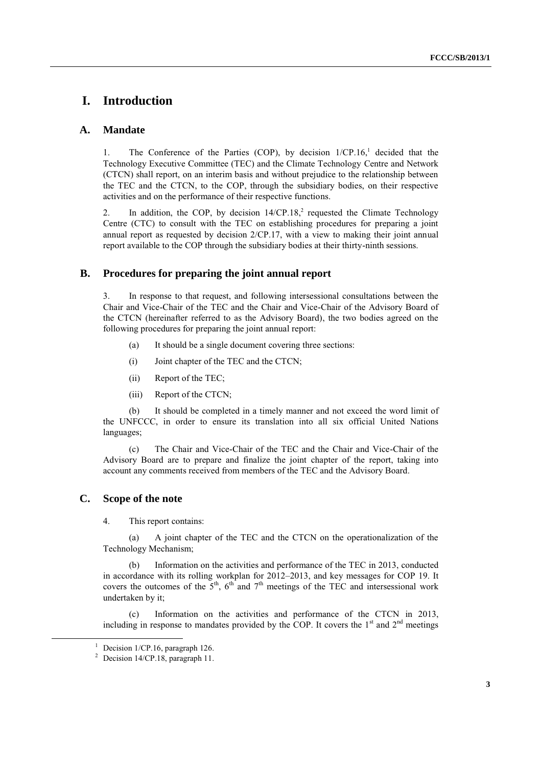# **I. Introduction**

### **A. Mandate**

1. The Conference of the Parties (COP), by decision  $1/CP.16$ ,<sup>1</sup> decided that the Technology Executive Committee (TEC) and the Climate Technology Centre and Network (CTCN) shall report, on an interim basis and without prejudice to the relationship between the TEC and the CTCN, to the COP, through the subsidiary bodies, on their respective activities and on the performance of their respective functions.

2. In addition, the COP, by decision  $14/CP.18$ , requested the Climate Technology Centre (CTC) to consult with the TEC on establishing procedures for preparing a joint annual report as requested by decision 2/CP.17, with a view to making their joint annual report available to the COP through the subsidiary bodies at their thirty-ninth sessions.

### **B. Procedures for preparing the joint annual report**

3. In response to that request, and following intersessional consultations between the Chair and Vice-Chair of the TEC and the Chair and Vice-Chair of the Advisory Board of the CTCN (hereinafter referred to as the Advisory Board), the two bodies agreed on the following procedures for preparing the joint annual report:

- (a) It should be a single document covering three sections:
- (i) Joint chapter of the TEC and the CTCN;
- (ii) Report of the TEC;
- (iii) Report of the CTCN;

(b) It should be completed in a timely manner and not exceed the word limit of the UNFCCC, in order to ensure its translation into all six official United Nations languages;

(c) The Chair and Vice-Chair of the TEC and the Chair and Vice-Chair of the Advisory Board are to prepare and finalize the joint chapter of the report, taking into account any comments received from members of the TEC and the Advisory Board.

#### **C. Scope of the note**

4. This report contains:

(a) A joint chapter of the TEC and the CTCN on the operationalization of the Technology Mechanism;

(b) Information on the activities and performance of the TEC in 2013, conducted in accordance with its rolling workplan for 2012–2013, and key messages for COP 19. It covers the outcomes of the  $5<sup>th</sup>$ ,  $6<sup>th</sup>$  and  $7<sup>th</sup>$  meetings of the TEC and intersessional work undertaken by it;

(c) Information on the activities and performance of the CTCN in 2013, including in response to mandates provided by the COP. It covers the  $1<sup>st</sup>$  and  $2<sup>nd</sup>$  meetings

<sup>&</sup>lt;sup>1</sup> Decision  $1/CP.16$ , paragraph 126.

<sup>&</sup>lt;sup>2</sup> Decision 14/CP.18, paragraph 11.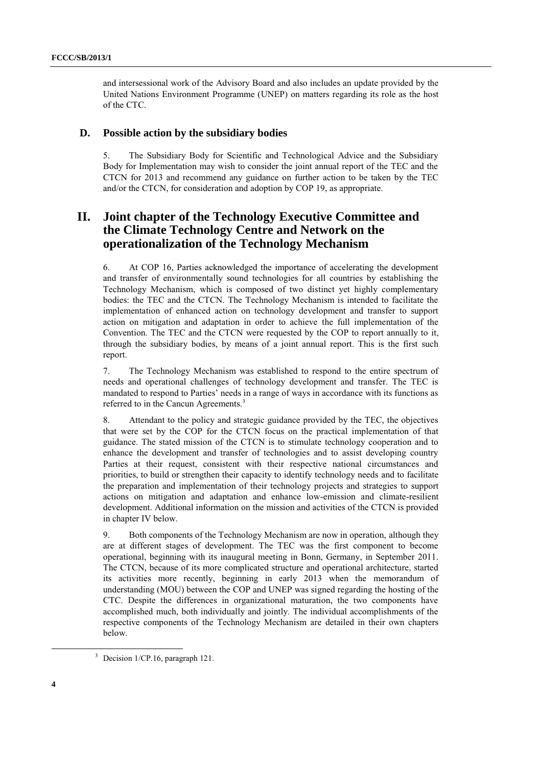and intersessional work of the Advisory Board and also includes an update provided by the United Nations Environment Programme (UNEP) on matters regarding its role as the host of the CTC.

### **D. Possible action by the subsidiary bodies**

5. The Subsidiary Body for Scientific and Technological Advice and the Subsidiary Body for Implementation may wish to consider the joint annual report of the TEC and the CTCN for 2013 and recommend any guidance on further action to be taken by the TEC and/or the CTCN, for consideration and adoption by COP 19, as appropriate.

# **II. Joint chapter of the Technology Executive Committee and the Climate Technology Centre and Network on the operationalization of the Technology Mechanism**

6. At COP 16, Parties acknowledged the importance of accelerating the development and transfer of environmentally sound technologies for all countries by establishing the Technology Mechanism, which is composed of two distinct yet highly complementary bodies: the TEC and the CTCN. The Technology Mechanism is intended to facilitate the implementation of enhanced action on technology development and transfer to support action on mitigation and adaptation in order to achieve the full implementation of the Convention. The TEC and the CTCN were requested by the COP to report annually to it, through the subsidiary bodies, by means of a joint annual report. This is the first such report.

7. The Technology Mechanism was established to respond to the entire spectrum of needs and operational challenges of technology development and transfer. The TEC is mandated to respond to Parties' needs in a range of ways in accordance with its functions as referred to in the Cancun Agreements.<sup>3</sup>

8. Attendant to the policy and strategic guidance provided by the TEC, the objectives that were set by the COP for the CTCN focus on the practical implementation of that guidance. The stated mission of the CTCN is to stimulate technology cooperation and to enhance the development and transfer of technologies and to assist developing country Parties at their request, consistent with their respective national circumstances and priorities, to build or strengthen their capacity to identify technology needs and to facilitate the preparation and implementation of their technology projects and strategies to support actions on mitigation and adaptation and enhance low-emission and climate-resilient development. Additional information on the mission and activities of the CTCN is provided in chapter IV below.

9. Both components of the Technology Mechanism are now in operation, although they are at different stages of development. The TEC was the first component to become operational, beginning with its inaugural meeting in Bonn, Germany, in September 2011. The CTCN, because of its more complicated structure and operational architecture, started its activities more recently, beginning in early 2013 when the memorandum of understanding (MOU) between the COP and UNEP was signed regarding the hosting of the CTC. Despite the differences in organizational maturation, the two components have accomplished much, both individually and jointly. The individual accomplishments of the respective components of the Technology Mechanism are detailed in their own chapters below.

 $3$  Decision 1/CP.16, paragraph 121.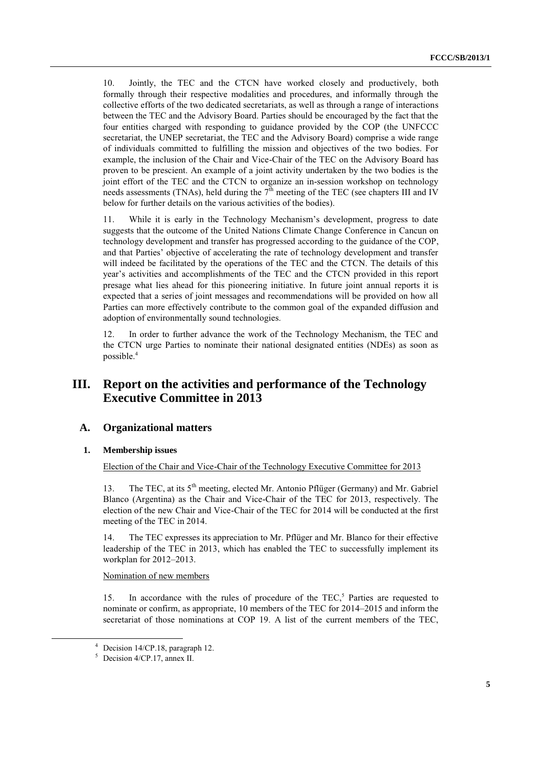10. Jointly, the TEC and the CTCN have worked closely and productively, both formally through their respective modalities and procedures, and informally through the collective efforts of the two dedicated secretariats, as well as through a range of interactions between the TEC and the Advisory Board. Parties should be encouraged by the fact that the four entities charged with responding to guidance provided by the COP (the UNFCCC secretariat, the UNEP secretariat, the TEC and the Advisory Board) comprise a wide range of individuals committed to fulfilling the mission and objectives of the two bodies. For example, the inclusion of the Chair and Vice-Chair of the TEC on the Advisory Board has proven to be prescient. An example of a joint activity undertaken by the two bodies is the joint effort of the TEC and the CTCN to organize an in-session workshop on technology needs assessments (TNAs), held during the  $7^{\text{th}}$  meeting of the TEC (see chapters III and IV below for further details on the various activities of the bodies).

11. While it is early in the Technology Mechanism's development, progress to date suggests that the outcome of the United Nations Climate Change Conference in Cancun on technology development and transfer has progressed according to the guidance of the COP, and that Parties' objective of accelerating the rate of technology development and transfer will indeed be facilitated by the operations of the TEC and the CTCN. The details of this year's activities and accomplishments of the TEC and the CTCN provided in this report presage what lies ahead for this pioneering initiative. In future joint annual reports it is expected that a series of joint messages and recommendations will be provided on how all Parties can more effectively contribute to the common goal of the expanded diffusion and adoption of environmentally sound technologies.

12. In order to further advance the work of the Technology Mechanism, the TEC and the CTCN urge Parties to nominate their national designated entities (NDEs) as soon as possible.<sup>4</sup>

# **III. Report on the activities and performance of the Technology Executive Committee in 2013**

### **A. Organizational matters**

#### **1. Membership issues**

Election of the Chair and Vice-Chair of the Technology Executive Committee for 2013

13. The TEC, at its 5<sup>th</sup> meeting, elected Mr. Antonio Pflüger (Germany) and Mr. Gabriel Blanco (Argentina) as the Chair and Vice-Chair of the TEC for 2013, respectively. The election of the new Chair and Vice-Chair of the TEC for 2014 will be conducted at the first meeting of the TEC in 2014.

14. The TEC expresses its appreciation to Mr. Pflüger and Mr. Blanco for their effective leadership of the TEC in 2013, which has enabled the TEC to successfully implement its workplan for 2012–2013.

#### Nomination of new members

15. In accordance with the rules of procedure of the TEC,<sup>5</sup> Parties are requested to nominate or confirm, as appropriate, 10 members of the TEC for 2014–2015 and inform the secretariat of those nominations at COP 19. A list of the current members of the TEC,

<sup>4</sup> Decision 14/CP.18, paragraph 12.

 $5$  Decision 4/CP.17, annex II.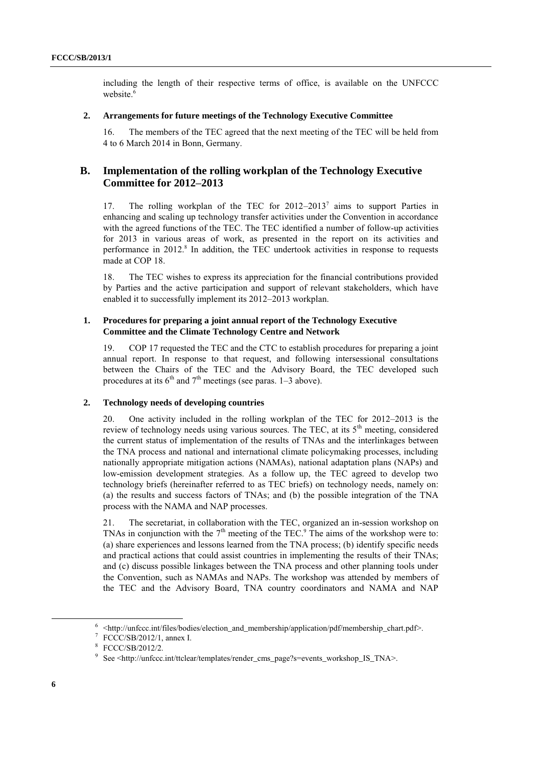including the length of their respective terms of office, is available on the UNFCCC website.<sup>6</sup>

#### **2. Arrangements for future meetings of the Technology Executive Committee**

16. The members of the TEC agreed that the next meeting of the TEC will be held from 4 to 6 March 2014 in Bonn, Germany.

## **B. Implementation of the rolling workplan of the Technology Executive Committee for 2012–2013**

17. The rolling workplan of the TEC for 2012-2013<sup>7</sup> aims to support Parties in enhancing and scaling up technology transfer activities under the Convention in accordance with the agreed functions of the TEC. The TEC identified a number of follow-up activities for 2013 in various areas of work, as presented in the report on its activities and performance in  $2012$ .<sup>8</sup> In addition, the TEC undertook activities in response to requests made at COP 18.

18. The TEC wishes to express its appreciation for the financial contributions provided by Parties and the active participation and support of relevant stakeholders, which have enabled it to successfully implement its 2012–2013 workplan.

#### **1. Procedures for preparing a joint annual report of the Technology Executive Committee and the Climate Technology Centre and Network**

19. COP 17 requested the TEC and the CTC to establish procedures for preparing a joint annual report. In response to that request, and following intersessional consultations between the Chairs of the TEC and the Advisory Board, the TEC developed such procedures at its  $6<sup>th</sup>$  and  $7<sup>th</sup>$  meetings (see paras. 1–3 above).

#### **2. Technology needs of developing countries**

20. One activity included in the rolling workplan of the TEC for 2012–2013 is the review of technology needs using various sources. The TEC, at its  $5<sup>th</sup>$  meeting, considered the current status of implementation of the results of TNAs and the interlinkages between the TNA process and national and international climate policymaking processes, including nationally appropriate mitigation actions (NAMAs), national adaptation plans (NAPs) and low-emission development strategies. As a follow up, the TEC agreed to develop two technology briefs (hereinafter referred to as TEC briefs) on technology needs, namely on: (a) the results and success factors of TNAs; and (b) the possible integration of the TNA process with the NAMA and NAP processes.

21. The secretariat, in collaboration with the TEC, organized an in-session workshop on TNAs in conjunction with the  $7<sup>th</sup>$  meeting of the TEC.<sup>9</sup> The aims of the workshop were to: (a) share experiences and lessons learned from the TNA process; (b) identify specific needs and practical actions that could assist countries in implementing the results of their TNAs; and (c) discuss possible linkages between the TNA process and other planning tools under the Convention, such as NAMAs and NAPs. The workshop was attended by members of the TEC and the Advisory Board, TNA country coordinators and NAMA and NAP

 $6$  <http://unfccc.int/files/bodies/election\_and\_membership/application/pdf/membership\_chart.pdf>.

<sup>7</sup> FCCC/SB/2012/1, annex I.

<sup>8</sup> FCCC/SB/2012/2.

<sup>9</sup> See <http://unfccc.int/ttclear/templates/render\_cms\_page?s=events\_workshop\_IS\_TNA>.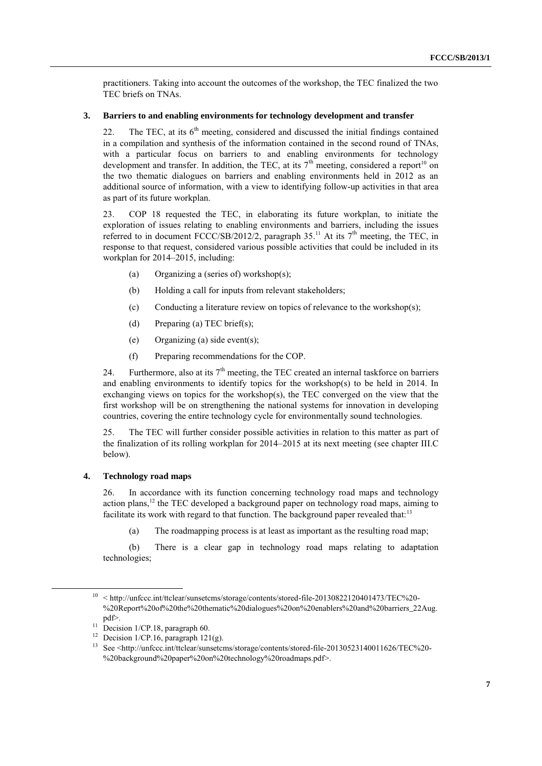practitioners. Taking into account the outcomes of the workshop, the TEC finalized the two TEC briefs on TNAs.

#### **3. Barriers to and enabling environments for technology development and transfer**

22. The TEC, at its  $6<sup>th</sup>$  meeting, considered and discussed the initial findings contained in a compilation and synthesis of the information contained in the second round of TNAs, with a particular focus on barriers to and enabling environments for technology development and transfer. In addition, the TEC, at its  $7<sup>th</sup>$  meeting, considered a report<sup>10</sup> on the two thematic dialogues on barriers and enabling environments held in 2012 as an additional source of information, with a view to identifying follow-up activities in that area as part of its future workplan.

23. COP 18 requested the TEC, in elaborating its future workplan, to initiate the exploration of issues relating to enabling environments and barriers, including the issues referred to in document FCCC/SB/2012/2, paragraph  $35.^{11}$  At its  $7<sup>th</sup>$  meeting, the TEC, in response to that request, considered various possible activities that could be included in its workplan for 2014–2015, including:

- (a) Organizing a (series of) workshop(s);
- (b) Holding a call for inputs from relevant stakeholders;
- (c) Conducting a literature review on topics of relevance to the workshop(s);
- (d) Preparing (a) TEC brief(s);
- (e) Organizing (a) side event(s);
- (f) Preparing recommendations for the COP.

24. Furthermore, also at its  $7<sup>th</sup>$  meeting, the TEC created an internal taskforce on barriers and enabling environments to identify topics for the workshop(s) to be held in 2014. In exchanging views on topics for the workshop(s), the TEC converged on the view that the first workshop will be on strengthening the national systems for innovation in developing countries, covering the entire technology cycle for environmentally sound technologies.

25. The TEC will further consider possible activities in relation to this matter as part of the finalization of its rolling workplan for 2014–2015 at its next meeting (see chapter III.C below).

### **4. Technology road maps**

26. In accordance with its function concerning technology road maps and technology action plans,<sup>12</sup> the TEC developed a background paper on technology road maps, aiming to facilitate its work with regard to that function. The background paper revealed that:<sup>13</sup>

(a) The roadmapping process is at least as important as the resulting road map;

(b) There is a clear gap in technology road maps relating to adaptation technologies;

 $10 \leq \text{http://unfccc.in/ttclear/sunsetcms/storage/contents/stored-file-20130822120401473/TEC%20-$ %20Report%20of%20the%20thematic%20dialogues%20on%20enablers%20and%20barriers\_22Aug. pdf>.

<sup>&</sup>lt;sup>11</sup> Decision 1/CP.18, paragraph 60.

<sup>&</sup>lt;sup>12</sup> Decision  $1/CP.16$ , paragraph  $121(g)$ .

<sup>13</sup> See <http://unfccc.int/ttclear/sunsetcms/storage/contents/stored-file-20130523140011626/TEC%20- %20background%20paper%20on%20technology%20roadmaps.pdf>.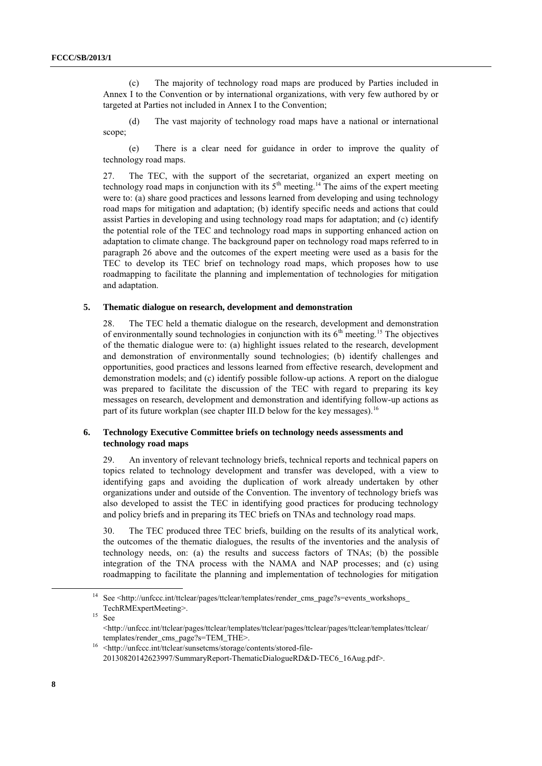(c) The majority of technology road maps are produced by Parties included in Annex I to the Convention or by international organizations, with very few authored by or targeted at Parties not included in Annex I to the Convention;

(d) The vast majority of technology road maps have a national or international scope;

(e) There is a clear need for guidance in order to improve the quality of technology road maps.

27. The TEC, with the support of the secretariat, organized an expert meeting on technology road maps in conjunction with its  $5<sup>th</sup>$  meeting.<sup>14</sup> The aims of the expert meeting were to: (a) share good practices and lessons learned from developing and using technology road maps for mitigation and adaptation; (b) identify specific needs and actions that could assist Parties in developing and using technology road maps for adaptation; and (c) identify the potential role of the TEC and technology road maps in supporting enhanced action on adaptation to climate change. The background paper on technology road maps referred to in paragraph 26 above and the outcomes of the expert meeting were used as a basis for the TEC to develop its TEC brief on technology road maps, which proposes how to use roadmapping to facilitate the planning and implementation of technologies for mitigation and adaptation.

#### **5. Thematic dialogue on research, development and demonstration**

28. The TEC held a thematic dialogue on the research, development and demonstration of environmentally sound technologies in conjunction with its  $6<sup>th</sup>$  meeting.<sup>15</sup> The objectives of the thematic dialogue were to: (a) highlight issues related to the research, development and demonstration of environmentally sound technologies; (b) identify challenges and opportunities, good practices and lessons learned from effective research, development and demonstration models; and (c) identify possible follow-up actions. A report on the dialogue was prepared to facilitate the discussion of the TEC with regard to preparing its key messages on research, development and demonstration and identifying follow-up actions as part of its future workplan (see chapter III.D below for the key messages).<sup>16</sup>

#### **6. Technology Executive Committee briefs on technology needs assessments and technology road maps**

29. An inventory of relevant technology briefs, technical reports and technical papers on topics related to technology development and transfer was developed, with a view to identifying gaps and avoiding the duplication of work already undertaken by other organizations under and outside of the Convention. The inventory of technology briefs was also developed to assist the TEC in identifying good practices for producing technology and policy briefs and in preparing its TEC briefs on TNAs and technology road maps.

30. The TEC produced three TEC briefs, building on the results of its analytical work, the outcomes of the thematic dialogues, the results of the inventories and the analysis of technology needs, on: (a) the results and success factors of TNAs; (b) the possible integration of the TNA process with the NAMA and NAP processes; and (c) using roadmapping to facilitate the planning and implementation of technologies for mitigation

<sup>14</sup> See <http://unfccc.int/ttclear/pages/ttclear/templates/render\_cms\_page?s=events\_workshops\_ TechRMExpertMeeting>.

 $15$  See

<sup>&</sup>lt;http://unfccc.int/ttclear/pages/ttclear/templates/ttclear/pages/ttclear/pages/ttclear/templates/ttclear/ templates/render\_cms\_page?s=TEM\_THE>.

<sup>16</sup> <http://unfccc.int/ttclear/sunsetcms/storage/contents/stored-file-20130820142623997/SummaryReport-ThematicDialogueRD&D-TEC6\_16Aug.pdf>.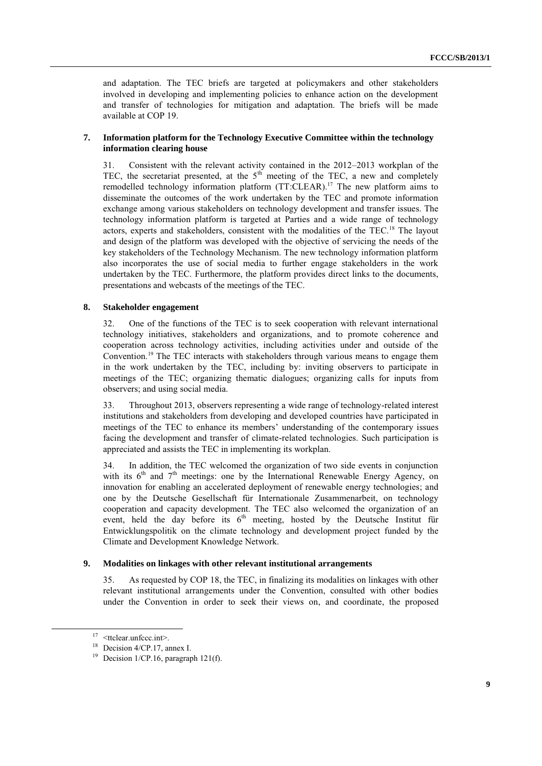and adaptation. The TEC briefs are targeted at policymakers and other stakeholders involved in developing and implementing policies to enhance action on the development and transfer of technologies for mitigation and adaptation. The briefs will be made available at COP 19.

#### **7. Information platform for the Technology Executive Committee within the technology information clearing house**

31. Consistent with the relevant activity contained in the 2012–2013 workplan of the TEC, the secretariat presented, at the  $5<sup>th</sup>$  meeting of the TEC, a new and completely remodelled technology information platform  $(TT:CLEAR)$ .<sup>17</sup> The new platform aims to disseminate the outcomes of the work undertaken by the TEC and promote information exchange among various stakeholders on technology development and transfer issues. The technology information platform is targeted at Parties and a wide range of technology actors, experts and stakeholders, consistent with the modalities of the TEC.<sup>18</sup> The layout and design of the platform was developed with the objective of servicing the needs of the key stakeholders of the Technology Mechanism. The new technology information platform also incorporates the use of social media to further engage stakeholders in the work undertaken by the TEC. Furthermore, the platform provides direct links to the documents, presentations and webcasts of the meetings of the TEC.

#### **8. Stakeholder engagement**

32. One of the functions of the TEC is to seek cooperation with relevant international technology initiatives, stakeholders and organizations, and to promote coherence and cooperation across technology activities, including activities under and outside of the Convention.<sup>19</sup> The TEC interacts with stakeholders through various means to engage them in the work undertaken by the TEC, including by: inviting observers to participate in meetings of the TEC; organizing thematic dialogues; organizing calls for inputs from observers; and using social media.

33. Throughout 2013, observers representing a wide range of technology-related interest institutions and stakeholders from developing and developed countries have participated in meetings of the TEC to enhance its members' understanding of the contemporary issues facing the development and transfer of climate-related technologies. Such participation is appreciated and assists the TEC in implementing its workplan.

34. In addition, the TEC welcomed the organization of two side events in conjunction with its  $6<sup>th</sup>$  and  $7<sup>th</sup>$  meetings: one by the International Renewable Energy Agency, on innovation for enabling an accelerated deployment of renewable energy technologies; and one by the Deutsche Gesellschaft für Internationale Zusammenarbeit, on technology cooperation and capacity development. The TEC also welcomed the organization of an event, held the day before its  $6<sup>th</sup>$  meeting, hosted by the Deutsche Institut für Entwicklungspolitik on the climate technology and development project funded by the Climate and Development Knowledge Network.

#### **9. Modalities on linkages with other relevant institutional arrangements**

35. As requested by COP 18, the TEC, in finalizing its modalities on linkages with other relevant institutional arrangements under the Convention, consulted with other bodies under the Convention in order to seek their views on, and coordinate, the proposed

-

 $17$  <ttclear.unfccc.int>.

<sup>&</sup>lt;sup>18</sup> Decision 4/CP.17, annex I.

<sup>&</sup>lt;sup>19</sup> Decision 1/CP.16, paragraph  $121(f)$ .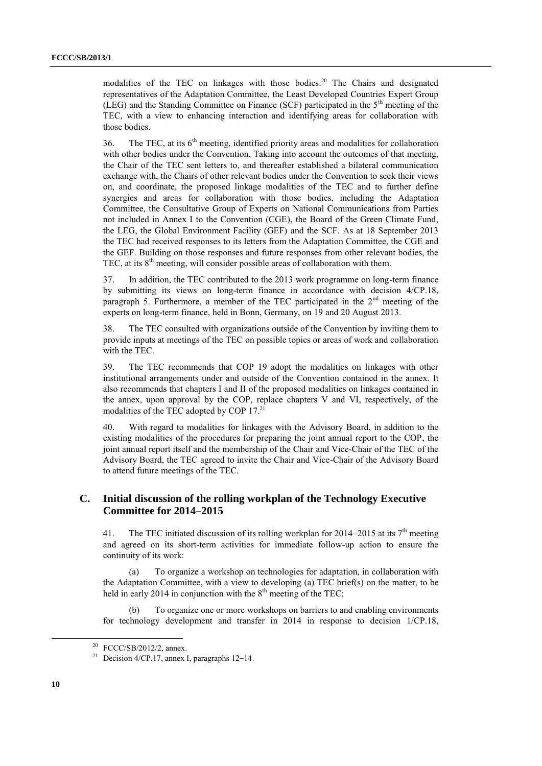modalities of the TEC on linkages with those bodies.<sup>20</sup> The Chairs and designated representatives of the Adaptation Committee, the Least Developed Countries Expert Group (LEG) and the Standing Committee on Finance (SCF) participated in the  $5<sup>th</sup>$  meeting of the TEC, with a view to enhancing interaction and identifying areas for collaboration with those bodies.

36. The TEC, at its  $6<sup>th</sup>$  meeting, identified priority areas and modalities for collaboration with other bodies under the Convention. Taking into account the outcomes of that meeting, the Chair of the TEC sent letters to, and thereafter established a bilateral communication exchange with, the Chairs of other relevant bodies under the Convention to seek their views on, and coordinate, the proposed linkage modalities of the TEC and to further define synergies and areas for collaboration with those bodies, including the Adaptation Committee, the Consultative Group of Experts on National Communications from Parties not included in Annex I to the Convention (CGE), the Board of the Green Climate Fund, the LEG, the Global Environment Facility (GEF) and the SCF. As at 18 September 2013 the TEC had received responses to its letters from the Adaptation Committee, the CGE and the GEF. Building on those responses and future responses from other relevant bodies, the TEC, at its  $8<sup>th</sup>$  meeting, will consider possible areas of collaboration with them.

37. In addition, the TEC contributed to the 2013 work programme on long-term finance by submitting its views on long-term finance in accordance with decision 4/CP.18, paragraph 5. Furthermore, a member of the TEC participated in the  $2<sup>nd</sup>$  meeting of the experts on long-term finance, held in Bonn, Germany, on 19 and 20 August 2013.

38. The TEC consulted with organizations outside of the Convention by inviting them to provide inputs at meetings of the TEC on possible topics or areas of work and collaboration with the TEC.

39. The TEC recommends that COP 19 adopt the modalities on linkages with other institutional arrangements under and outside of the Convention contained in the annex. It also recommends that chapters I and II of the proposed modalities on linkages contained in the annex, upon approval by the COP, replace chapters V and VI, respectively, of the modalities of the TEC adopted by COP 17.<sup>21</sup>

40. With regard to modalities for linkages with the Advisory Board, in addition to the existing modalities of the procedures for preparing the joint annual report to the COP, the joint annual report itself and the membership of the Chair and Vice-Chair of the TEC of the Advisory Board, the TEC agreed to invite the Chair and Vice-Chair of the Advisory Board to attend future meetings of the TEC.

## **C. Initial discussion of the rolling workplan of the Technology Executive Committee for 2014–2015**

41. The TEC initiated discussion of its rolling workplan for 2014–2015 at its  $7<sup>th</sup>$  meeting and agreed on its short-term activities for immediate follow-up action to ensure the continuity of its work:

(a) To organize a workshop on technologies for adaptation, in collaboration with the Adaptation Committee, with a view to developing (a) TEC brief(s) on the matter, to be held in early 2014 in conjunction with the  $8<sup>th</sup>$  meeting of the TEC;

To organize one or more workshops on barriers to and enabling environments for technology development and transfer in 2014 in response to decision 1/CP.18,

 $20$  FCCC/SB/2012/2, annex.

<sup>&</sup>lt;sup>21</sup> Decision  $4$ /CP.17, annex I, paragraphs 12–14.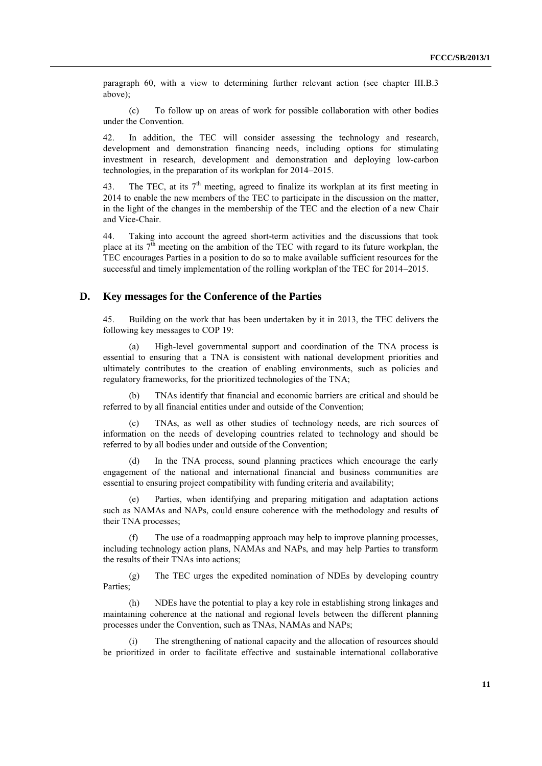paragraph 60, with a view to determining further relevant action (see chapter III.B.3 above);

(c) To follow up on areas of work for possible collaboration with other bodies under the Convention.

42. In addition, the TEC will consider assessing the technology and research, development and demonstration financing needs, including options for stimulating investment in research, development and demonstration and deploying low-carbon technologies, in the preparation of its workplan for 2014–2015.

43. The TEC, at its  $7<sup>th</sup>$  meeting, agreed to finalize its workplan at its first meeting in 2014 to enable the new members of the TEC to participate in the discussion on the matter, in the light of the changes in the membership of the TEC and the election of a new Chair and Vice-Chair.

44. Taking into account the agreed short-term activities and the discussions that took place at its  $7<sup>th</sup>$  meeting on the ambition of the TEC with regard to its future workplan, the TEC encourages Parties in a position to do so to make available sufficient resources for the successful and timely implementation of the rolling workplan of the TEC for 2014–2015.

### **D. Key messages for the Conference of the Parties**

45. Building on the work that has been undertaken by it in 2013, the TEC delivers the following key messages to COP 19:

(a) High-level governmental support and coordination of the TNA process is essential to ensuring that a TNA is consistent with national development priorities and ultimately contributes to the creation of enabling environments, such as policies and regulatory frameworks, for the prioritized technologies of the TNA;

TNAs identify that financial and economic barriers are critical and should be referred to by all financial entities under and outside of the Convention;

(c) TNAs, as well as other studies of technology needs, are rich sources of information on the needs of developing countries related to technology and should be referred to by all bodies under and outside of the Convention;

In the TNA process, sound planning practices which encourage the early engagement of the national and international financial and business communities are essential to ensuring project compatibility with funding criteria and availability;

Parties, when identifying and preparing mitigation and adaptation actions such as NAMAs and NAPs, could ensure coherence with the methodology and results of their TNA processes;

(f) The use of a roadmapping approach may help to improve planning processes, including technology action plans, NAMAs and NAPs, and may help Parties to transform the results of their TNAs into actions;

(g) The TEC urges the expedited nomination of NDEs by developing country Parties;

(h) NDEs have the potential to play a key role in establishing strong linkages and maintaining coherence at the national and regional levels between the different planning processes under the Convention, such as TNAs, NAMAs and NAPs;

The strengthening of national capacity and the allocation of resources should be prioritized in order to facilitate effective and sustainable international collaborative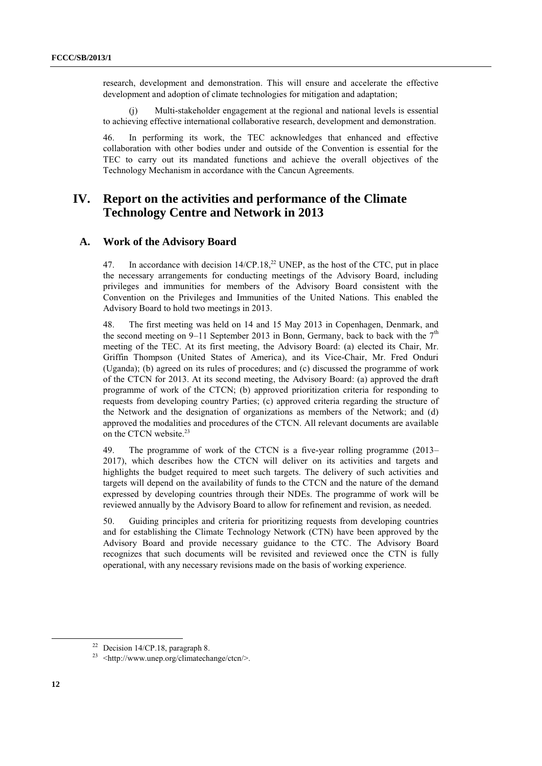research, development and demonstration. This will ensure and accelerate the effective development and adoption of climate technologies for mitigation and adaptation;

(j) Multi-stakeholder engagement at the regional and national levels is essential to achieving effective international collaborative research, development and demonstration.

46. In performing its work, the TEC acknowledges that enhanced and effective collaboration with other bodies under and outside of the Convention is essential for the TEC to carry out its mandated functions and achieve the overall objectives of the Technology Mechanism in accordance with the Cancun Agreements.

## **IV. Report on the activities and performance of the Climate Technology Centre and Network in 2013**

#### **A. Work of the Advisory Board**

47. In accordance with decision  $14/CP.18$ ,<sup>22</sup> UNEP, as the host of the CTC, put in place the necessary arrangements for conducting meetings of the Advisory Board, including privileges and immunities for members of the Advisory Board consistent with the Convention on the Privileges and Immunities of the United Nations. This enabled the Advisory Board to hold two meetings in 2013.

48. The first meeting was held on 14 and 15 May 2013 in Copenhagen, Denmark, and the second meeting on 9–11 September 2013 in Bonn, Germany, back to back with the  $7<sup>th</sup>$ meeting of the TEC. At its first meeting, the Advisory Board: (a) elected its Chair, Mr. Griffin Thompson (United States of America), and its Vice-Chair, Mr. Fred Onduri (Uganda); (b) agreed on its rules of procedures; and (c) discussed the programme of work of the CTCN for 2013. At its second meeting, the Advisory Board: (a) approved the draft programme of work of the CTCN; (b) approved prioritization criteria for responding to requests from developing country Parties; (c) approved criteria regarding the structure of the Network and the designation of organizations as members of the Network; and (d) approved the modalities and procedures of the CTCN. All relevant documents are available on the CTCN website.<sup>23</sup>

49. The programme of work of the CTCN is a five-year rolling programme (2013– 2017), which describes how the CTCN will deliver on its activities and targets and highlights the budget required to meet such targets. The delivery of such activities and targets will depend on the availability of funds to the CTCN and the nature of the demand expressed by developing countries through their NDEs. The programme of work will be reviewed annually by the Advisory Board to allow for refinement and revision, as needed.

50. Guiding principles and criteria for prioritizing requests from developing countries and for establishing the Climate Technology Network (CTN) have been approved by the Advisory Board and provide necessary guidance to the CTC. The Advisory Board recognizes that such documents will be revisited and reviewed once the CTN is fully operational, with any necessary revisions made on the basis of working experience.

<sup>&</sup>lt;sup>22</sup> Decision 14/CP.18, paragraph 8.

<sup>23</sup> <http://www.unep.org/climatechange/ctcn/>.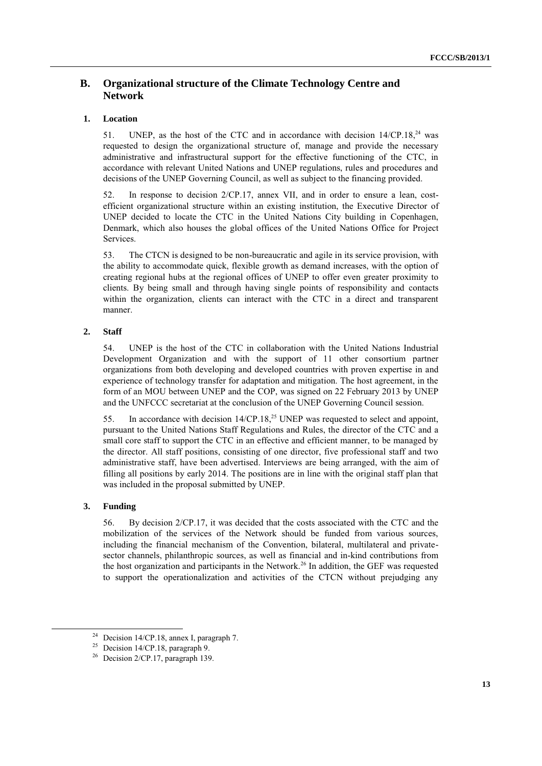## **B. Organizational structure of the Climate Technology Centre and Network**

### **1. Location**

51. UNEP, as the host of the CTC and in accordance with decision  $14/CP.18<sup>24</sup>$  was requested to design the organizational structure of, manage and provide the necessary administrative and infrastructural support for the effective functioning of the CTC, in accordance with relevant United Nations and UNEP regulations, rules and procedures and decisions of the UNEP Governing Council, as well as subject to the financing provided.

52. In response to decision 2/CP.17, annex VII, and in order to ensure a lean, costefficient organizational structure within an existing institution, the Executive Director of UNEP decided to locate the CTC in the United Nations City building in Copenhagen, Denmark, which also houses the global offices of the United Nations Office for Project Services.

53. The CTCN is designed to be non-bureaucratic and agile in its service provision, with the ability to accommodate quick, flexible growth as demand increases, with the option of creating regional hubs at the regional offices of UNEP to offer even greater proximity to clients. By being small and through having single points of responsibility and contacts within the organization, clients can interact with the CTC in a direct and transparent manner.

#### **2. Staff**

54. UNEP is the host of the CTC in collaboration with the United Nations Industrial Development Organization and with the support of 11 other consortium partner organizations from both developing and developed countries with proven expertise in and experience of technology transfer for adaptation and mitigation. The host agreement, in the form of an MOU between UNEP and the COP, was signed on 22 February 2013 by UNEP and the UNFCCC secretariat at the conclusion of the UNEP Governing Council session.

55. In accordance with decision 14/CP.18,<sup>25</sup> UNEP was requested to select and appoint, pursuant to the United Nations Staff Regulations and Rules, the director of the CTC and a small core staff to support the CTC in an effective and efficient manner, to be managed by the director. All staff positions, consisting of one director, five professional staff and two administrative staff, have been advertised. Interviews are being arranged, with the aim of filling all positions by early 2014. The positions are in line with the original staff plan that was included in the proposal submitted by UNEP.

#### **3. Funding**

-

56. By decision 2/CP.17, it was decided that the costs associated with the CTC and the mobilization of the services of the Network should be funded from various sources, including the financial mechanism of the Convention, bilateral, multilateral and privatesector channels, philanthropic sources, as well as financial and in-kind contributions from the host organization and participants in the Network.<sup>26</sup> In addition, the GEF was requested to support the operationalization and activities of the CTCN without prejudging any

<sup>&</sup>lt;sup>24</sup> Decision 14/CP.18, annex I, paragraph 7.

<sup>&</sup>lt;sup>25</sup> Decision 14/CP.18, paragraph 9.

<sup>&</sup>lt;sup>26</sup> Decision 2/CP.17, paragraph 139.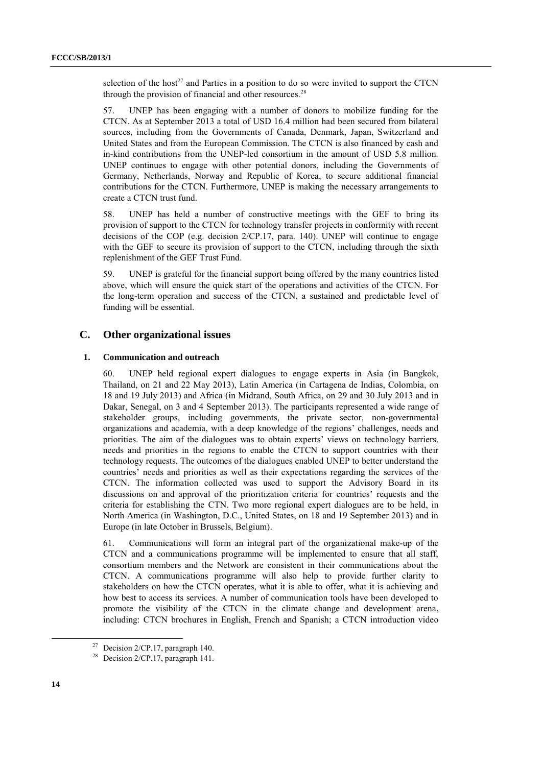selection of the host<sup>27</sup> and Parties in a position to do so were invited to support the CTCN through the provision of financial and other resources.<sup>28</sup>

57. UNEP has been engaging with a number of donors to mobilize funding for the CTCN. As at September 2013 a total of USD 16.4 million had been secured from bilateral sources, including from the Governments of Canada, Denmark, Japan, Switzerland and United States and from the European Commission. The CTCN is also financed by cash and in-kind contributions from the UNEP-led consortium in the amount of USD 5.8 million. UNEP continues to engage with other potential donors, including the Governments of Germany, Netherlands, Norway and Republic of Korea, to secure additional financial contributions for the CTCN. Furthermore, UNEP is making the necessary arrangements to create a CTCN trust fund.

58. UNEP has held a number of constructive meetings with the GEF to bring its provision of support to the CTCN for technology transfer projects in conformity with recent decisions of the COP (e.g. decision 2/CP.17, para. 140). UNEP will continue to engage with the GEF to secure its provision of support to the CTCN, including through the sixth replenishment of the GEF Trust Fund.

59. UNEP is grateful for the financial support being offered by the many countries listed above, which will ensure the quick start of the operations and activities of the CTCN. For the long-term operation and success of the CTCN, a sustained and predictable level of funding will be essential.

## **C. Other organizational issues**

#### **1. Communication and outreach**

60. UNEP held regional expert dialogues to engage experts in Asia (in Bangkok, Thailand, on 21 and 22 May 2013), Latin America (in Cartagena de Indias, Colombia, on 18 and 19 July 2013) and Africa (in Midrand, South Africa, on 29 and 30 July 2013 and in Dakar, Senegal, on 3 and 4 September 2013). The participants represented a wide range of stakeholder groups, including governments, the private sector, non-governmental organizations and academia, with a deep knowledge of the regions' challenges, needs and priorities. The aim of the dialogues was to obtain experts' views on technology barriers, needs and priorities in the regions to enable the CTCN to support countries with their technology requests. The outcomes of the dialogues enabled UNEP to better understand the countries' needs and priorities as well as their expectations regarding the services of the CTCN. The information collected was used to support the Advisory Board in its discussions on and approval of the prioritization criteria for countries' requests and the criteria for establishing the CTN. Two more regional expert dialogues are to be held, in North America (in Washington, D.C., United States, on 18 and 19 September 2013) and in Europe (in late October in Brussels, Belgium).

61. Communications will form an integral part of the organizational make-up of the CTCN and a communications programme will be implemented to ensure that all staff, consortium members and the Network are consistent in their communications about the CTCN. A communications programme will also help to provide further clarity to stakeholders on how the CTCN operates, what it is able to offer, what it is achieving and how best to access its services. A number of communication tools have been developed to promote the visibility of the CTCN in the climate change and development arena, including: CTCN brochures in English, French and Spanish; a CTCN introduction video

<sup>&</sup>lt;sup>27</sup> Decision  $2/CP.17$ , paragraph 140.

<sup>&</sup>lt;sup>28</sup> Decision 2/CP.17, paragraph 141.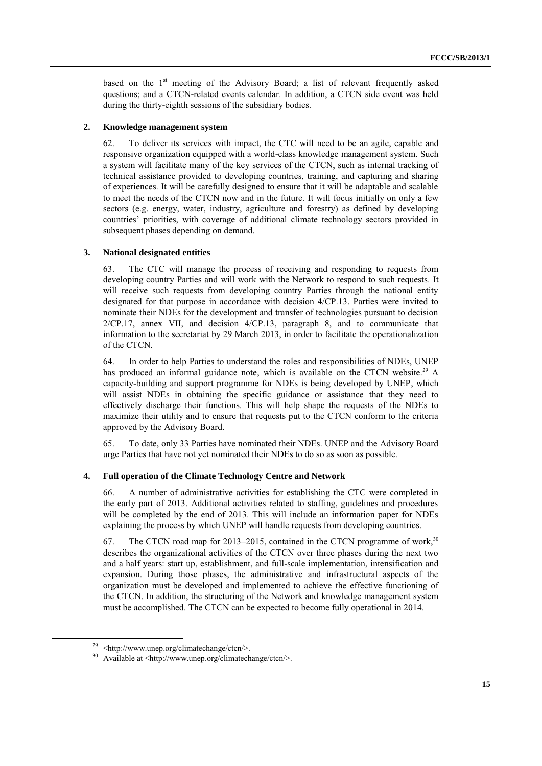based on the  $1<sup>st</sup>$  meeting of the Advisory Board; a list of relevant frequently asked questions; and a CTCN-related events calendar. In addition, a CTCN side event was held during the thirty-eighth sessions of the subsidiary bodies.

#### **2. Knowledge management system**

62. To deliver its services with impact, the CTC will need to be an agile, capable and responsive organization equipped with a world-class knowledge management system. Such a system will facilitate many of the key services of the CTCN, such as internal tracking of technical assistance provided to developing countries, training, and capturing and sharing of experiences. It will be carefully designed to ensure that it will be adaptable and scalable to meet the needs of the CTCN now and in the future. It will focus initially on only a few sectors (e.g. energy, water, industry, agriculture and forestry) as defined by developing countries' priorities, with coverage of additional climate technology sectors provided in subsequent phases depending on demand.

#### **3. National designated entities**

63. The CTC will manage the process of receiving and responding to requests from developing country Parties and will work with the Network to respond to such requests. It will receive such requests from developing country Parties through the national entity designated for that purpose in accordance with decision 4/CP.13. Parties were invited to nominate their NDEs for the development and transfer of technologies pursuant to decision 2/CP.17, annex VII, and decision 4/CP.13, paragraph 8, and to communicate that information to the secretariat by 29 March 2013, in order to facilitate the operationalization of the CTCN.

64. In order to help Parties to understand the roles and responsibilities of NDEs, UNEP has produced an informal guidance note, which is available on the CTCN website.<sup>29</sup> A capacity-building and support programme for NDEs is being developed by UNEP, which will assist NDEs in obtaining the specific guidance or assistance that they need to effectively discharge their functions. This will help shape the requests of the NDEs to maximize their utility and to ensure that requests put to the CTCN conform to the criteria approved by the Advisory Board.

65. To date, only 33 Parties have nominated their NDEs. UNEP and the Advisory Board urge Parties that have not yet nominated their NDEs to do so as soon as possible.

#### **4. Full operation of the Climate Technology Centre and Network**

66. A number of administrative activities for establishing the CTC were completed in the early part of 2013. Additional activities related to staffing, guidelines and procedures will be completed by the end of 2013. This will include an information paper for NDEs explaining the process by which UNEP will handle requests from developing countries.

67. The CTCN road map for 2013–2015, contained in the CTCN programme of work,  $30$ describes the organizational activities of the CTCN over three phases during the next two and a half years: start up, establishment, and full-scale implementation, intensification and expansion. During those phases, the administrative and infrastructural aspects of the organization must be developed and implemented to achieve the effective functioning of the CTCN. In addition, the structuring of the Network and knowledge management system must be accomplished. The CTCN can be expected to become fully operational in 2014.

<sup>29</sup> <http://www.unep.org/climatechange/ctcn/>.

<sup>30</sup> Available at <http://www.unep.org/climatechange/ctcn/>.